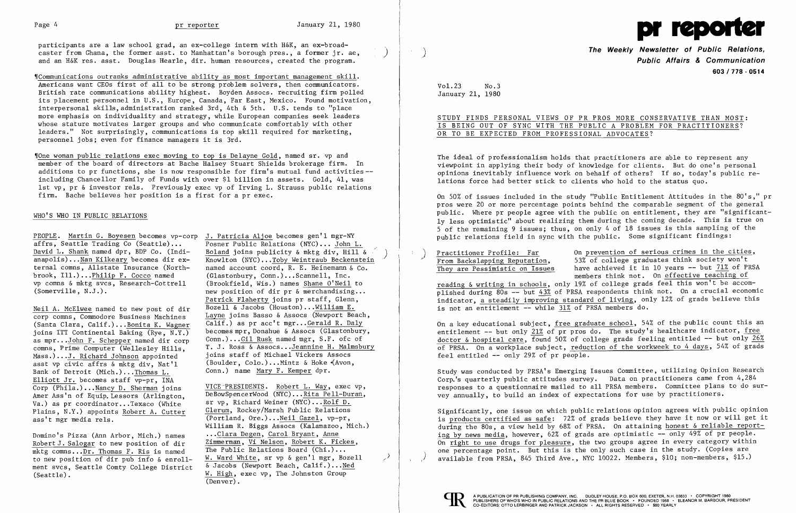participants are a law school grad, an ex-college intern with H&K, an ex-broad caster from Ghana, the former asst. to Manhattan's borough pres., a former jr. ae, and an H&K res. asst. Douglas Hearle, dir. human resources, created the program.

'ICommunications outranks administrative ability as most important management skill. Americans want CEOs first of all to be strong problem solvers, then communicators. British rate communications ability highest. Boyden Assocs. recruiting firm polled its placement personnel in U.S., Europe, Canada, Far East, Mexico. Found motivation, interpersonal skills, administration ranked 3rd, 4th & 5th. U.S. tends to "place more emphasis on individuality and strategy, while European companies seek leaders whose stature motivates larger groups and who communicate comfortably with other leaders." Not surprisingly, communications is top skill required for marketing, personnel jobs; even for finance managers it is 3rd.

Thone woman public relations exec moving to top is Delayne Gold, named sr. vp and member of the board of directors at Bache Halsey Stuart Shields brokerage firm. In additions to pr functions, she is now responsible for firm's mutual fund activities-including Chancellor Family of Funds with over \$1 billion in assets. Gold, 41, was 1st vp, pr & investor rels. Previously exec vp of Irving L. Strauss public relations firm. Bache believes her position is a first for a pr exec.

## WHO'S WHO IN PUBLIC RELATIONS

PEOPLE. Martin G. Boyesen becomes vp-corp J. Patricia Aljoe becomes gen'l mgr-NY<br>affrs, Seattle Trading Co (Seattle)... Posner Public Relations (NYC)... John I affrs, Seattle Trading Co (Seattle)... Posner Public Relations (NYC)... John L.<br>David L. Shank named dpr, BDP Co. (Indi- Boland joins publicity & mktg div. Hill brook, Ill.)...<u>Philip F. Cocco</u> named (Glastonbury, Conn.)...Scannell, Inc.<br>vp comns & mktg svcs. Research-Cottrell (Brookfield. Wis.) names Shane O'Neil

Neil A. McElwee named to new post of dir<br>corp comms, Commodore Business Machines (Santa Clara, Calif.)... Bonita K. Wagner<br>joins ITT Continental Baking (Rye, N.Y.) as mpr...John F. Schepper named dir corp comns, Prime Computer (Wellesley Hills, Mass.)...J. Richard Johnson appointed joins staff of Michael Vickers Assocs asst vp civic affrs & mktg div, Nat'l (Boulder, Colo.) ...Mintz & Hoke ~Avon, Bank of Detroit (Mich.)... Thomas L. Elliott Jr. becomes staff vp-pr, INA Corp (Phila.)... Nancy D. Sherman joins VICE-PRESIDENTS. Robert L. Way, exec vp,<br>Amer Ass'n of Equip Lessors (Arlington DeBowSpencerWood (NYC)... Rita Pell-Duran, Amer Ass'n of Equip. Lessors (Arlington, DeBowSpencerWood (NYC)... Rita Pell-Duran, Value of Equip. Lessors (Ma<br>Values pricoordinator, Texaco (White single Richard Weiner (NYC)... Rolf D. Va.) as pr coordinator...Texaco (White sr vp, Richard Weiner (NYC)...<u>Rolf D.</u><br>Plains N Y ) appoints Robert A Cutter Glerum, Rockey/Marsh Public Relations Plains, N.Y.) appoints Robert A. Cutter ass't mgr media rels.

Robert J. Salogar to new position of dir<br>
which comes Dr. Thomas E. Bis is named The Public Relations Board (Chi.)... mktg comns... Dr. Thomas F. Ris is named<br>to new position of dir pub info & enrollment svcs, Seattle Comty College District  $\alpha$  Jacobs (Newport Beach, Calif.)... Ned<br>(Seattle). W. High, exec vp, The Johnston Group

David L. Shank named dpr, BDP Co. (Indi-<br>anapolis)...Nan Kilkeary becomes dir ex-<br>Knowlton (NYC)...Toby Weintraub Beckenstei anapolis)...Nan Kilkeary becomes dir ex-<br>ternal comms, Allstate Insurance (North-<br>named account coord, R. E. Heinemann & Co. ternal comns, Allstate Insurance (North- named account coord, R. E. Heinemann & Co. brook, Ill.)...Philip F. Cocco named (Glastonbury, Conn.)...Scannell, Inc.  $V(Srookfield, Wis.)$  names Shane O'Neil to (Somerville, N.J.).  $new position of dir pr & merchandising...$ Patrick Flaherty joins pr staff, Glenn,<br>Bozell & Jacobs (Houston)...William E. Layne joins Basso & Assocs (Newport Beach,  $\overline{Calif.}$ ) as pr acc't mgr...Gerald R. Daly becomes mpr, Donahue & Assocs (Glastonbury, Conn.)... Gil Rusk named mgr. S.F. ofc of comns, Prime Computer (Wellesley Hills, T. J. Ross & Assocs...Jeannine H. Malmsbury Mass.)...J. Richard Johnson appointed joins staff of Michael Vickers Assocs (Boulder, Colo.)...Mintz & Hoke (Avon,

 $\overline{(Portland, Ore.)}$ ...Neil Gazel, vp-pr, William R. Biggs Assocs (Kalamazoo, Mich.) Domino's Pizza (Ann Arbor, Mich.) names ... Clara Degen, Carol Bryant, Anne W. Ward White, sr vp & gen'l mgr, Bozell W. High, exec vp, The Johnston Group (Denver) .

STUDY FINDS PERSONAL VIEWS OF PR PROS MORE CONSERVATIVE THAN MOST: IS BEING OUT OF SYNC WITH THE PUBLIC A PROBLEM FOR PRACTITIONERS? OR TO BE EXPECTED FROM PROFESSIONAL ADVOCATES?

On a key educational subject, free graduate school, 54% of the public count this an entitlement  $-$  but only 21% of pr pros do. The study's healthcare indicator, free doctor & hospital care, found 50% of college grads feeling entitled  $-$  but only 26% of PRSA. On a workplace subject, reduction of the workweek to 4 days, 54% of grads feel entitled  $--$  only 29% of pr people.

)

)



**The Weekly Newsletter of Public Relations,** ) **Public Affairs & Communication 603/778 - 0514** 

Vol. 23 No.3 January 21, 1980

The ideal of professionalism holds that practitioners are able to represent any viewpoint in applying their body of knowledge for clients. But do one's personal opinions inevitably influence work on behalf of others? If so, today's public relations force had better stick to clients who hold to the status quo.

On 50% of issues included in the study "Public Entitlement Attitudes in the 80's," pr pros were 20 or more percentage points behind the comparable segment of the general public. Where pr people agree with the public on entitlement, they are "significantly less optimistic" about realizing them during the coming decade. This is true on 5 of the remaining 9 issues; thus, on only 4 of 18 issues is this sampling of the public relations field in sync with the public. Some significant findings:

Practitioner Profile: Far On prevention of serious crimes in the cities,<br>From Backslapping Reputation, 53% of college graduates think society won't<br>They are Pessimistic on Issues have achieved it in 10 years -- but 71% of have achieved it in 10 years -- but 71% of PRSA members think not. On effective teaching of reading & writing in schools, only 19% of college grads feel this won't be accomplished during  $80s$  -- but  $43%$  of PRSA respondents think not. On a crucial economic indicator, a steadily improving standard of living, only 12% of grads believe this is not an entitlement -- while 31% of PRSA members do.

Study was conducted by PRSA's Emerging Issues Committee, utilizing Opinion Research Corp.'s quarterly public attitudes survey. Data on practitioners came from 4,284 responses to a questionnaire mailed to all PRSA members. Committee plans to do survey annually, to build an index of expectations for use by practitioners.

Significantly, one issue on which public relations opinion agrees with public opinion is products certified as safe: 72% of grads believe they have it now or will get it during the 80s, a view held by 68% of PRSA. On attaining honest & reliable reporting by news media, however, 62% of grads are optimistic  $-\overline{$  only 49% of pr people. On right to use drugs for pleasure, the two groups agree in every category within one percentage point. But this is the only such case in the study. (Copies are  $\geq$   $\rightarrow$   $\rightarrow$  available from PRSA, 845 Third Ave., NYC 10022. Members, \$10; non-members, \$15.)